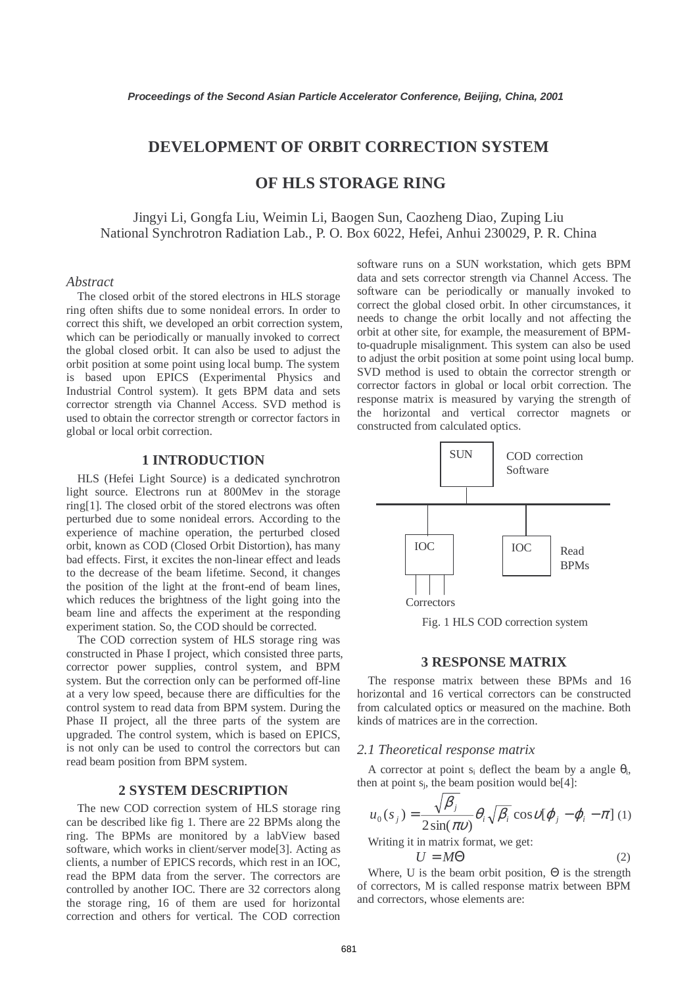# **DEVELOPMENT OF ORBIT CORRECTION SYSTEM**

# **OF HLS STORAGE RING**

Jingyi Li, Gongfa Liu, Weimin Li, Baogen Sun, Caozheng Diao, Zuping Liu National Synchrotron Radiation Lab., P. O. Box 6022, Hefei, Anhui 230029, P. R. China

### *Abstract*

The closed orbit of the stored electrons in HLS storage ring often shifts due to some nonideal errors. In order to correct this shift, we developed an orbit correction system, which can be periodically or manually invoked to correct the global closed orbit. It can also be used to adjust the orbit position at some point using local bump. The system is based upon EPICS (Experimental Physics and Industrial Control system). It gets BPM data and sets corrector strength via Channel Access. SVD method is used to obtain the corrector strength or corrector factors in global or local orbit correction.

## **1 INTRODUCTION**

HLS (Hefei Light Source) is a dedicated synchrotron light source. Electrons run at 800Mev in the storage ring[1]. The closed orbit of the stored electrons was often perturbed due to some nonideal errors. According to the experience of machine operation, the perturbed closed orbit, known as COD (Closed Orbit Distortion), has many bad effects. First, it excites the non-linear effect and leads to the decrease of the beam lifetime. Second, it changes the position of the light at the front-end of beam lines, which reduces the brightness of the light going into the beam line and affects the experiment at the responding experiment station. So, the COD should be corrected.

The COD correction system of HLS storage ring was constructed in Phase I project, which consisted three parts, corrector power supplies, control system, and BPM system. But the correction only can be performed off-line at a very low speed, because there are difficulties for the control system to read data from BPM system. During the Phase II project, all the three parts of the system are upgraded. The control system, which is based on EPICS, is not only can be used to control the correctors but can read beam position from BPM system.

## **2 SYSTEM DESCRIPTION**

The new COD correction system of HLS storage ring can be described like fig 1. There are 22 BPMs along the ring. The BPMs are monitored by a labView based software, which works in client/server mode[3]. Acting as clients, a number of EPICS records, which rest in an IOC, read the BPM data from the server. The correctors are controlled by another IOC. There are 32 correctors along the storage ring, 16 of them are used for horizontal correction and others for vertical. The COD correction

software runs on a SUN workstation, which gets BPM data and sets corrector strength via Channel Access. The software can be periodically or manually invoked to correct the global closed orbit. In other circumstances, it needs to change the orbit locally and not affecting the orbit at other site, for example, the measurement of BPMto-quadruple misalignment. This system can also be used to adjust the orbit position at some point using local bump. SVD method is used to obtain the corrector strength or corrector factors in global or local orbit correction. The response matrix is measured by varying the strength of the horizontal and vertical corrector magnets or constructed from calculated optics.



Fig. 1 HLS COD correction system

#### **3 RESPONSE MATRIX**

The response matrix between these BPMs and 16 horizontal and 16 vertical correctors can be constructed from calculated optics or measured on the machine. Both kinds of matrices are in the correction.

#### *2.1 Theoretical response matrix*

A corrector at point s<sub>i</sub> deflect the beam by a angle  $\theta_i$ , then at point  $s_i$ , the beam position would be[4]:

$$
u_0(s_j) = \frac{\sqrt{\beta_j}}{2\sin(\pi v)} \theta_i \sqrt{\beta_i} \cos v[\varphi_j - \varphi_i - \pi] \tag{1}
$$

Writing it in matrix format, we get:

$$
U = M\Theta \tag{2}
$$

Where, U is the beam orbit position,  $\Theta$  is the strength of correctors, M is called response matrix between BPM and correctors, whose elements are: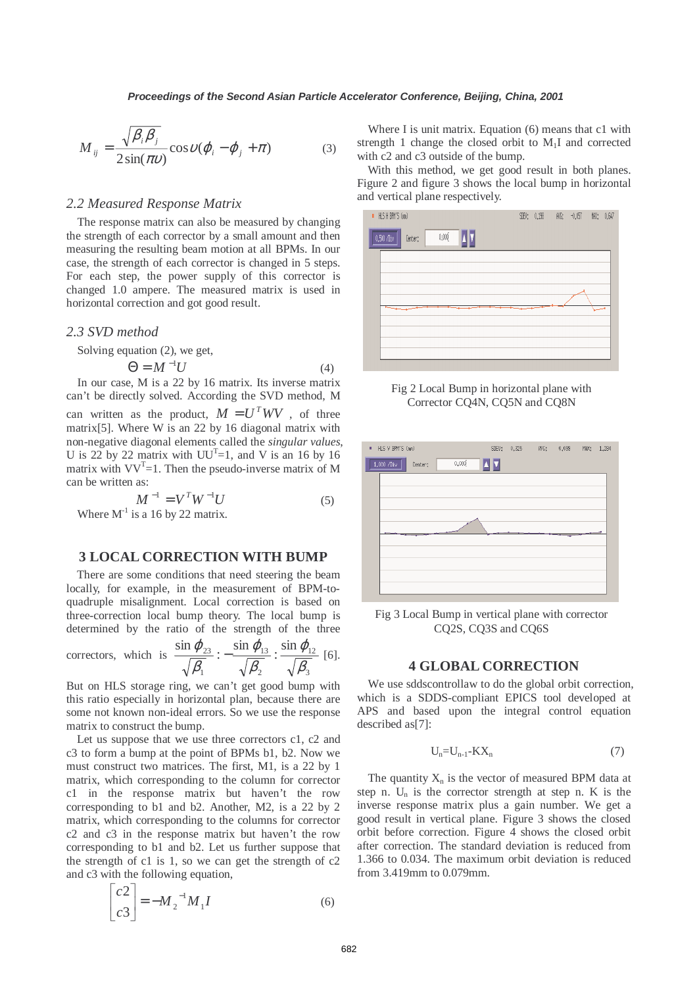$$
M_{ij} = \frac{\sqrt{\beta_i \beta_j}}{2 \sin(\pi \nu)} \cos \upsilon (\varphi_i - \varphi_j + \pi)
$$
 (3)

### *2.2 Measured Response Matrix*

The response matrix can also be measured by changing the strength of each corrector by a small amount and then measuring the resulting beam motion at all BPMs. In our case, the strength of each corrector is changed in 5 steps. For each step, the power supply of this corrector is changed 1.0 ampere. The measured matrix is used in horizontal correction and got good result.

#### *2.3 SVD method*

Solving equation (2), we get,

$$
\Theta = M^{-1}U\tag{4}
$$

In our case, M is a 22 by 16 matrix. Its inverse matrix can't be directly solved. According the SVD method, M can written as the product,  $M = U<sup>T</sup> W V$ , of three matrix[5]. Where W is an 22 by 16 diagonal matrix with non-negative diagonal elements called the *singular values*, U is 22 by 22 matrix with  $UU^{T}=1$ , and V is an 16 by 16 matrix with  $VV<sup>T</sup>=1$ . Then the pseudo-inverse matrix of M can be written as:

$$
M^{-1} = V^T W^{-1} U
$$
 (5)  
Where M<sup>-1</sup> is a 16 by 22 matrix.

## **3 LOCAL CORRECTION WITH BUMP**

There are some conditions that need steering the beam locally, for example, in the measurement of BPM-toquadruple misalignment. Local correction is based on three-correction local bump theory. The local bump is determined by the ratio of the strength of the three

correctors, which is 
$$
\frac{\sin \varphi_{23}}{\sqrt{\beta_1}} : -\frac{\sin \varphi_{13}}{\sqrt{\beta_2}} : \frac{\sin \varphi_{12}}{\sqrt{\beta_3}} [6].
$$

But on HLS storage ring, we can't get good bump with this ratio especially in horizontal plan, because there are some not known non-ideal errors. So we use the response matrix to construct the bump.

Let us suppose that we use three correctors c1, c2 and c3 to form a bump at the point of BPMs b1, b2. Now we must construct two matrices. The first, M1, is a 22 by 1 matrix, which corresponding to the column for corrector c1 in the response matrix but haven't the row corresponding to b1 and b2. Another, M2, is a 22 by 2 matrix, which corresponding to the columns for corrector c2 and c3 in the response matrix but haven't the row corresponding to b1 and b2. Let us further suppose that the strength of c1 is 1, so we can get the strength of c2 and c3 with the following equation,

$$
\begin{bmatrix} c2\\ c3 \end{bmatrix} = -M_2^{-1} M_1 I \tag{6}
$$

Where I is unit matrix. Equation (6) means that c1 with strength 1 change the closed orbit to  $M<sub>1</sub>I$  and corrected with c2 and c3 outside of the bump.

With this method, we get good result in both planes. Figure 2 and figure 3 shows the local bump in horizontal and vertical plane respectively.







Fig 3 Local Bump in vertical plane with corrector CQ2S, CQ3S and CQ6S

## **4 GLOBAL CORRECTION**

We use sddscontrollaw to do the global orbit correction, which is a SDDS-compliant EPICS tool developed at APS and based upon the integral control equation described as[7]:

$$
U_n = U_{n-1} - K X_n \tag{7}
$$

The quantity  $X_n$  is the vector of measured BPM data at step n.  $U_n$  is the corrector strength at step n. K is the inverse response matrix plus a gain number. We get a good result in vertical plane. Figure 3 shows the closed orbit before correction. Figure 4 shows the closed orbit after correction. The standard deviation is reduced from 1.366 to 0.034. The maximum orbit deviation is reduced from 3.419mm to 0.079mm.